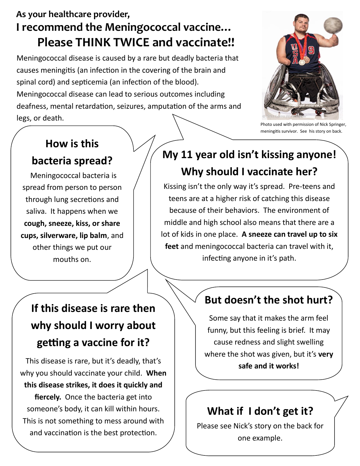## **As your healthcare provider, I recommend the Meningococcal vaccine… Please THINK TWICE and vaccinate!!**

Meningococcal disease is caused by a rare but deadly bacteria that causes meningitis (an infection in the covering of the brain and spinal cord) and septicemia (an infection of the blood). Meningococcal disease can lead to serious outcomes including deafness, mental retardation, seizures, amputation of the arms and legs, or death.



Photo used with permission of Nick Springer, meningitis survivor. See his story on back.

### **How is this**

#### **bacteria spread?**

Meningococcal bacteria is spread from person to person through lung secretions and saliva. It happens when we **cough, sneeze, kiss, or share cups, silverware, lip balm**, and other things we put our mouths on.

## **My 11 year old isn't kissing anyone! Why should I vaccinate her?**

Kissing isn't the only way it's spread. Pre-teens and teens are at a higher risk of catching this disease because of their behaviors. The environment of middle and high school also means that there are a lot of kids in one place. **A sneeze can travel up to six feet** and meningococcal bacteria can travel with it, infecting anyone in it's path.

# **If this disease is rare then why should I worry about getting a vaccine for it?**

This disease is rare, but it's deadly, that's why you should vaccinate your child. **When this disease strikes, it does it quickly and fiercely.** Once the bacteria get into someone's body, it can kill within hours. This is not something to mess around with and vaccination is the best protection.

### **But doesn't the shot hurt?**

Some say that it makes the arm feel funny, but this feeling is brief. It may cause redness and slight swelling where the shot was given, but it's **very safe and it works!**

## **What if I don't get it?**

Please see Nick's story on the back for one example.